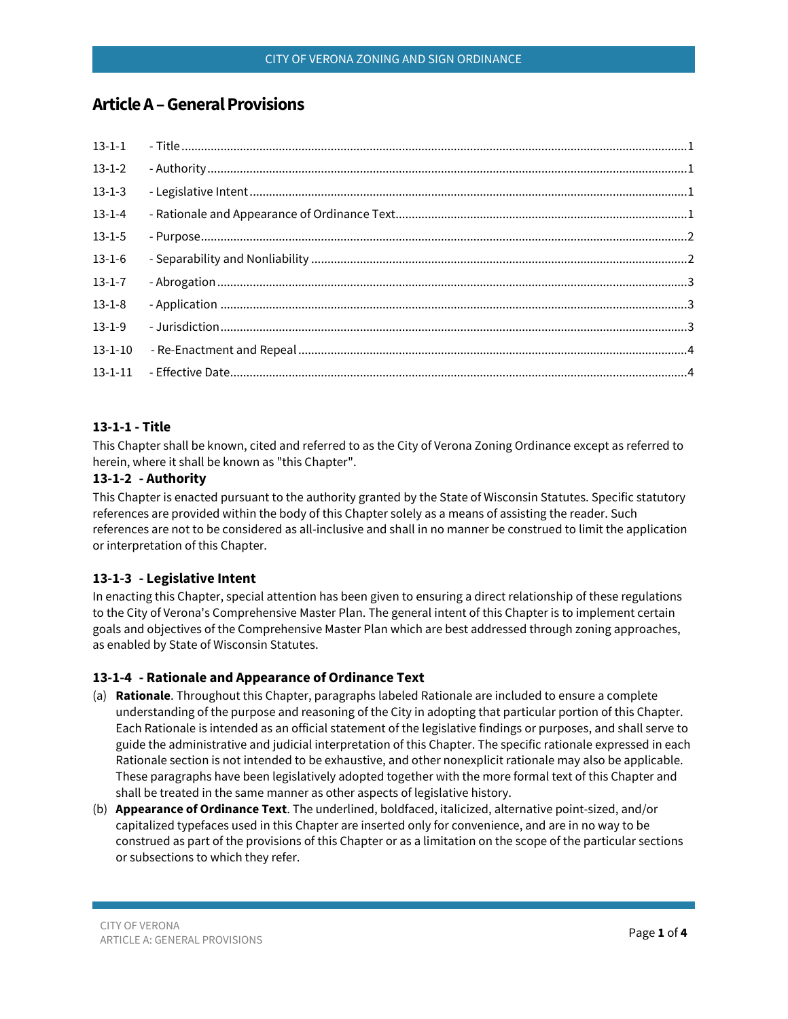# **ArticleA–General Provisions**

| $13 - 1 - 2$  |  |
|---------------|--|
| $13 - 1 - 3$  |  |
| $13-1-4$      |  |
| $13 - 1 - 5$  |  |
| $13-1-6$      |  |
| $13-1-7$      |  |
| $13 - 1 - 8$  |  |
| $13-1-9$      |  |
| $13 - 1 - 10$ |  |
|               |  |

## <span id="page-0-0"></span>**13-1-1 - Title**

This Chapter shall be known, cited and referred to as the City of Verona Zoning Ordinance except as referred to herein, where it shall be known as "this Chapter".

## <span id="page-0-1"></span>**13-1-2 - Authority**

This Chapter is enacted pursuant to the authority granted by the State of Wisconsin Statutes. Specific statutory references are provided within the body of this Chapter solely as a means of assisting the reader. Such references are not to be considered as all-inclusive and shall in no manner be construed to limit the application or interpretation of this Chapter.

## <span id="page-0-2"></span>**13-1-3 - Legislative Intent**

In enacting this Chapter, special attention has been given to ensuring a direct relationship of these regulations to the City of Verona's Comprehensive Master Plan. The general intent of this Chapter is to implement certain goals and objectives of the Comprehensive Master Plan which are best addressed through zoning approaches, as enabled by State of Wisconsin Statutes.

## <span id="page-0-3"></span>**13-1-4 - Rationale and Appearance of Ordinance Text**

- (a) **Rationale**. Throughout this Chapter, paragraphs labeled Rationale are included to ensure a complete understanding of the purpose and reasoning of the City in adopting that particular portion of this Chapter. Each Rationale is intended as an official statement of the legislative findings or purposes, and shall serve to guide the administrative and judicial interpretation of this Chapter. The specific rationale expressed in each Rationale section is not intended to be exhaustive, and other nonexplicit rationale may also be applicable. These paragraphs have been legislatively adopted together with the more formal text of this Chapter and shall be treated in the same manner as other aspects of legislative history.
- (b) **Appearance of Ordinance Text**. The underlined, boldfaced, italicized, alternative point-sized, and/or capitalized typefaces used in this Chapter are inserted only for convenience, and are in no way to be construed as part of the provisions of this Chapter or as a limitation on the scope of the particular sections or subsections to which they refer.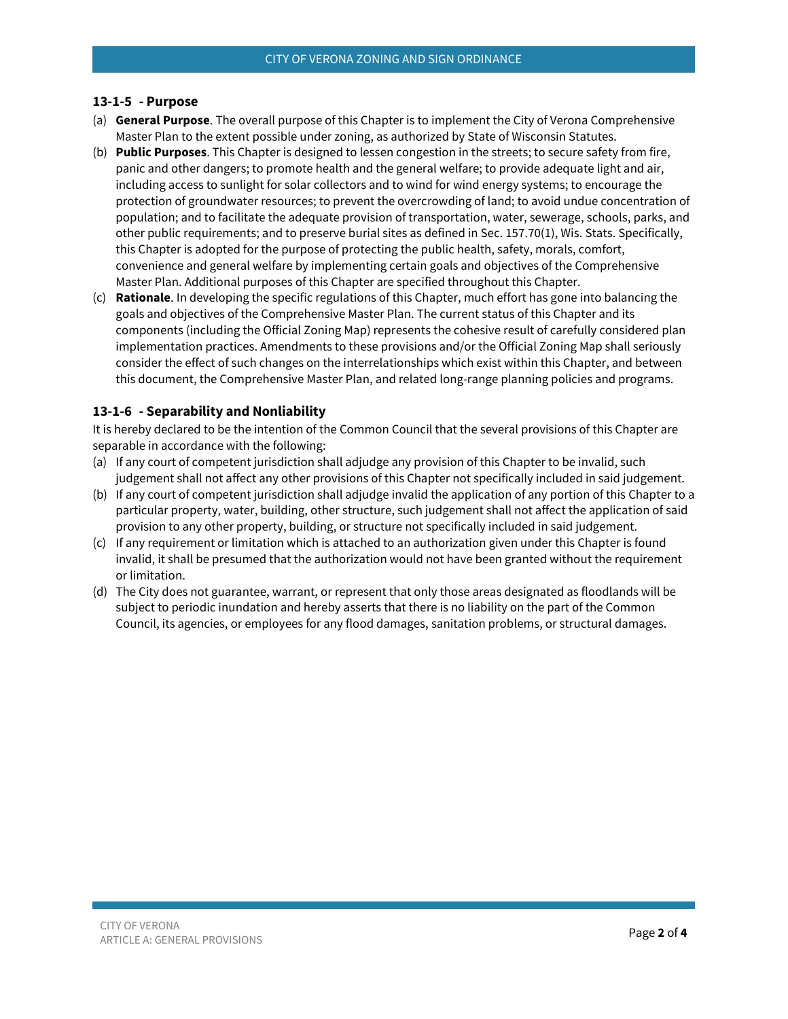#### <span id="page-1-0"></span>**13-1-5 - Purpose**

- (a) **General Purpose**. The overall purpose of this Chapter is to implement the City of Verona Comprehensive Master Plan to the extent possible under zoning, as authorized by State of Wisconsin Statutes.
- (b) **Public Purposes**. This Chapter is designed to lessen congestion in the streets; to secure safety from fire, panic and other dangers; to promote health and the general welfare; to provide adequate light and air, including access to sunlight for solar collectors and to wind for wind energy systems; to encourage the protection of groundwater resources; to prevent the overcrowding of land; to avoid undue concentration of population; and to facilitate the adequate provision of transportation, water, sewerage, schools, parks, and other public requirements; and to preserve burial sites as defined in Sec. 157.70(1), Wis. Stats. Specifically, this Chapter is adopted for the purpose of protecting the public health, safety, morals, comfort, convenience and general welfare by implementing certain goals and objectives of the Comprehensive Master Plan. Additional purposes of this Chapter are specified throughout this Chapter.
- (c) **Rationale**. In developing the specific regulations of this Chapter, much effort has gone into balancing the goals and objectives of the Comprehensive Master Plan. The current status of this Chapter and its components (including the Official Zoning Map) represents the cohesive result of carefully considered plan implementation practices. Amendments to these provisions and/or the Official Zoning Map shall seriously consider the effect of such changes on the interrelationships which exist within this Chapter, and between this document, the Comprehensive Master Plan, and related long-range planning policies and programs.

## <span id="page-1-1"></span>**13-1-6 - Separability and Nonliability**

It is hereby declared to be the intention of the Common Council that the several provisions of this Chapter are separable in accordance with the following:

- (a) If any court of competent jurisdiction shall adjudge any provision of this Chapter to be invalid, such judgement shall not affect any other provisions of this Chapter not specifically included in said judgement.
- (b) If any court of competent jurisdiction shall adjudge invalid the application of any portion of this Chapter to a particular property, water, building, other structure, such judgement shall not affect the application of said provision to any other property, building, or structure not specifically included in said judgement.
- (c) If any requirement or limitation which is attached to an authorization given under this Chapter is found invalid, it shall be presumed that the authorization would not have been granted without the requirement or limitation.
- (d) The City does not guarantee, warrant, or represent that only those areas designated as floodlands will be subject to periodic inundation and hereby asserts that there is no liability on the part of the Common Council, its agencies, or employees for any flood damages, sanitation problems, or structural damages.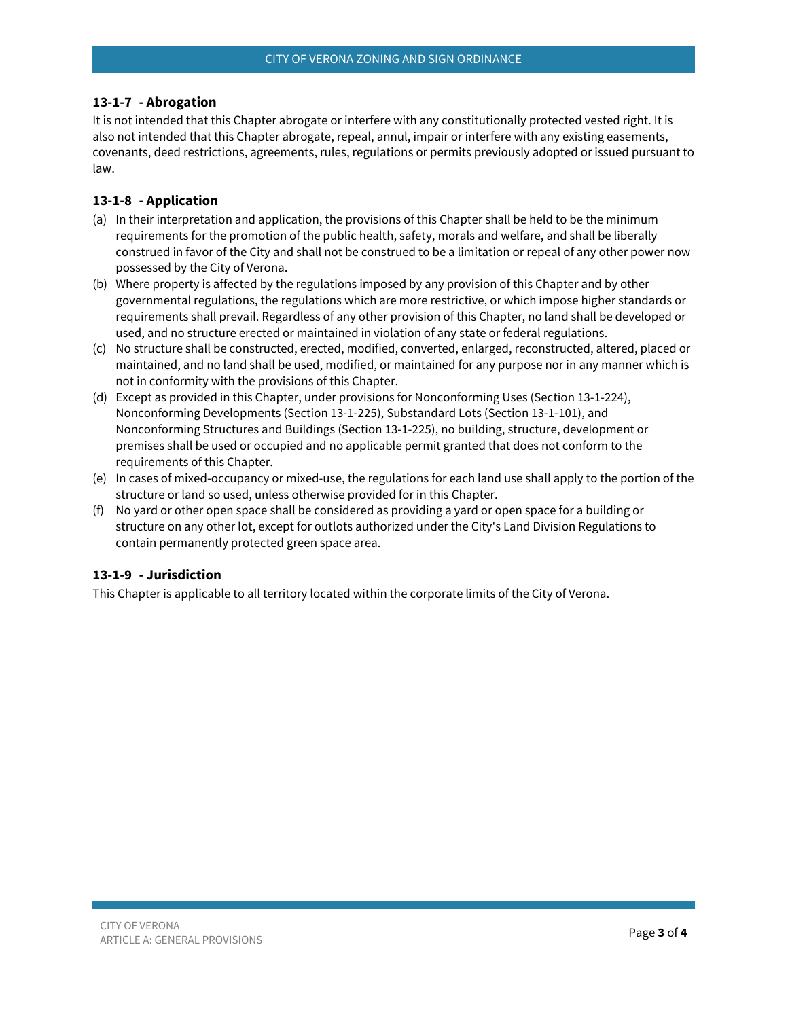#### <span id="page-2-0"></span>**13-1-7 - Abrogation**

It is not intended that this Chapter abrogate or interfere with any constitutionally protected vested right. It is also not intended that this Chapter abrogate, repeal, annul, impair or interfere with any existing easements, covenants, deed restrictions, agreements, rules, regulations or permits previously adopted or issued pursuant to law.

#### <span id="page-2-1"></span>**13-1-8 - Application**

- (a) In their interpretation and application, the provisions of this Chapter shall be held to be the minimum requirements for the promotion of the public health, safety, morals and welfare, and shall be liberally construed in favor of the City and shall not be construed to be a limitation or repeal of any other power now possessed by the City of Verona.
- (b) Where property is affected by the regulations imposed by any provision of this Chapter and by other governmental regulations, the regulations which are more restrictive, or which impose higher standards or requirements shall prevail. Regardless of any other provision of this Chapter, no land shall be developed or used, and no structure erected or maintained in violation of any state or federal regulations.
- (c) No structure shall be constructed, erected, modified, converted, enlarged, reconstructed, altered, placed or maintained, and no land shall be used, modified, or maintained for any purpose nor in any manner which is not in conformity with the provisions of this Chapter.
- (d) Except as provided in this Chapter, under provisions for Nonconforming Uses (Section 13-1-224), Nonconforming Developments (Section 13-1-225), Substandard Lots (Section 13-1-101), and Nonconforming Structures and Buildings (Section 13-1-225), no building, structure, development or premises shall be used or occupied and no applicable permit granted that does not conform to the requirements of this Chapter.
- (e) In cases of mixed-occupancy or mixed-use, the regulations for each land use shall apply to the portion of the structure or land so used, unless otherwise provided for in this Chapter.
- (f) No yard or other open space shall be considered as providing a yard or open space for a building or structure on any other lot, except for outlots authorized under the City's Land Division Regulations to contain permanently protected green space area.

#### <span id="page-2-2"></span>**13-1-9 - Jurisdiction**

This Chapter is applicable to all territory located within the corporate limits of the City of Verona.